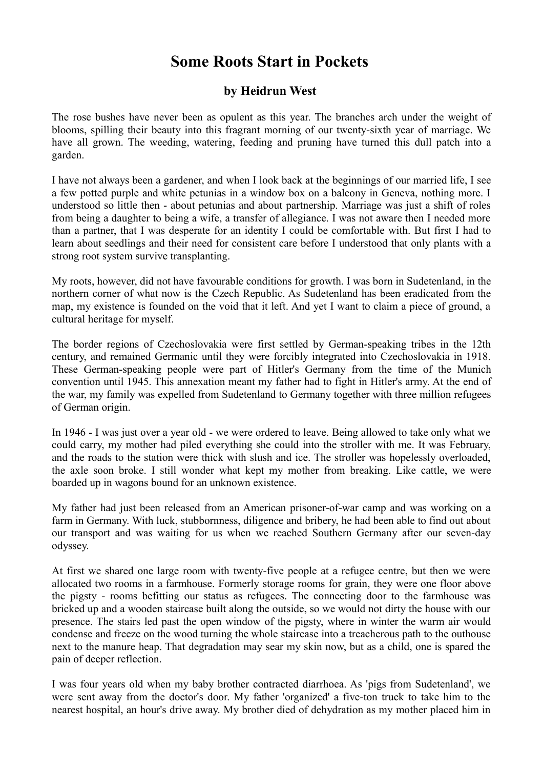## **Some Roots Start in Pockets**

## **by Heidrun West**

The rose bushes have never been as opulent as this year. The branches arch under the weight of blooms, spilling their beauty into this fragrant morning of our twenty-sixth year of marriage. We have all grown. The weeding, watering, feeding and pruning have turned this dull patch into a garden.

I have not always been a gardener, and when I look back at the beginnings of our married life, I see a few potted purple and white petunias in a window box on a balcony in Geneva, nothing more. I understood so little then - about petunias and about partnership. Marriage was just a shift of roles from being a daughter to being a wife, a transfer of allegiance. I was not aware then I needed more than a partner, that I was desperate for an identity I could be comfortable with. But first I had to learn about seedlings and their need for consistent care before I understood that only plants with a strong root system survive transplanting.

My roots, however, did not have favourable conditions for growth. I was born in Sudetenland, in the northern corner of what now is the Czech Republic. As Sudetenland has been eradicated from the map, my existence is founded on the void that it left. And yet I want to claim a piece of ground, a cultural heritage for myself.

The border regions of Czechoslovakia were first settled by German-speaking tribes in the 12th century, and remained Germanic until they were forcibly integrated into Czechoslovakia in 1918. These German-speaking people were part of Hitler's Germany from the time of the Munich convention until 1945. This annexation meant my father had to fight in Hitler's army. At the end of the war, my family was expelled from Sudetenland to Germany together with three million refugees of German origin.

In 1946 - I was just over a year old - we were ordered to leave. Being allowed to take only what we could carry, my mother had piled everything she could into the stroller with me. It was February, and the roads to the station were thick with slush and ice. The stroller was hopelessly overloaded, the axle soon broke. I still wonder what kept my mother from breaking. Like cattle, we were boarded up in wagons bound for an unknown existence.

My father had just been released from an American prisoner-of-war camp and was working on a farm in Germany. With luck, stubbornness, diligence and bribery, he had been able to find out about our transport and was waiting for us when we reached Southern Germany after our seven-day odyssey.

At first we shared one large room with twenty-five people at a refugee centre, but then we were allocated two rooms in a farmhouse. Formerly storage rooms for grain, they were one floor above the pigsty - rooms befitting our status as refugees. The connecting door to the farmhouse was bricked up and a wooden staircase built along the outside, so we would not dirty the house with our presence. The stairs led past the open window of the pigsty, where in winter the warm air would condense and freeze on the wood turning the whole staircase into a treacherous path to the outhouse next to the manure heap. That degradation may sear my skin now, but as a child, one is spared the pain of deeper reflection.

I was four years old when my baby brother contracted diarrhoea. As 'pigs from Sudetenland', we were sent away from the doctor's door. My father 'organized' a five-ton truck to take him to the nearest hospital, an hour's drive away. My brother died of dehydration as my mother placed him in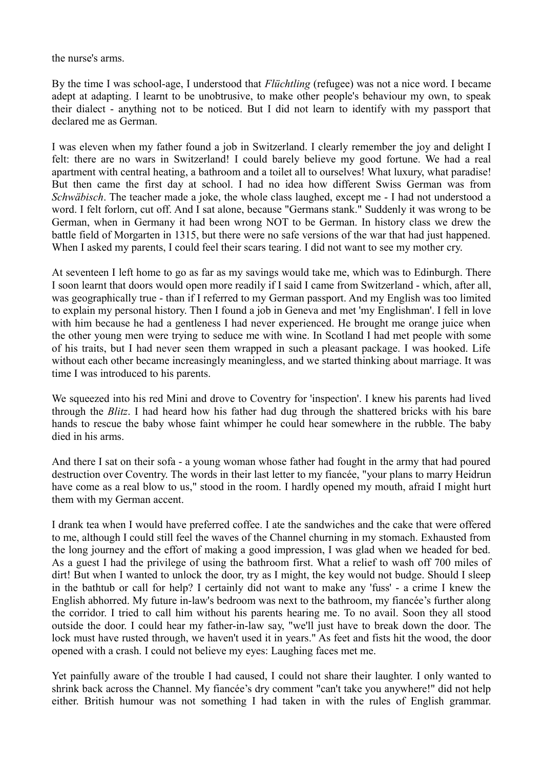the nurse's arms.

By the time I was school-age, I understood that *Flüchtling* (refugee) was not a nice word. I became adept at adapting. I learnt to be unobtrusive, to make other people's behaviour my own, to speak their dialect - anything not to be noticed. But I did not learn to identify with my passport that declared me as German.

I was eleven when my father found a job in Switzerland. I clearly remember the joy and delight I felt: there are no wars in Switzerland! I could barely believe my good fortune. We had a real apartment with central heating, a bathroom and a toilet all to ourselves! What luxury, what paradise! But then came the first day at school. I had no idea how different Swiss German was from *Schwäbisch*. The teacher made a joke, the whole class laughed, except me - I had not understood a word. I felt forlorn, cut off. And I sat alone, because "Germans stank." Suddenly it was wrong to be German, when in Germany it had been wrong NOT to be German. In history class we drew the battle field of Morgarten in 1315, but there were no safe versions of the war that had just happened. When I asked my parents, I could feel their scars tearing. I did not want to see my mother cry.

At seventeen I left home to go as far as my savings would take me, which was to Edinburgh. There I soon learnt that doors would open more readily if I said I came from Switzerland - which, after all, was geographically true - than if I referred to my German passport. And my English was too limited to explain my personal history. Then I found a job in Geneva and met 'my Englishman'. I fell in love with him because he had a gentleness I had never experienced. He brought me orange juice when the other young men were trying to seduce me with wine. In Scotland I had met people with some of his traits, but I had never seen them wrapped in such a pleasant package. I was hooked. Life without each other became increasingly meaningless, and we started thinking about marriage. It was time I was introduced to his parents.

We squeezed into his red Mini and drove to Coventry for 'inspection'. I knew his parents had lived through the *Blitz*. I had heard how his father had dug through the shattered bricks with his bare hands to rescue the baby whose faint whimper he could hear somewhere in the rubble. The baby died in his arms.

And there I sat on their sofa - a young woman whose father had fought in the army that had poured destruction over Coventry. The words in their last letter to my fiancée, "your plans to marry Heidrun have come as a real blow to us," stood in the room. I hardly opened my mouth, afraid I might hurt them with my German accent.

I drank tea when I would have preferred coffee. I ate the sandwiches and the cake that were offered to me, although I could still feel the waves of the Channel churning in my stomach. Exhausted from the long journey and the effort of making a good impression, I was glad when we headed for bed. As a guest I had the privilege of using the bathroom first. What a relief to wash off 700 miles of dirt! But when I wanted to unlock the door, try as I might, the key would not budge. Should I sleep in the bathtub or call for help? I certainly did not want to make any 'fuss' - a crime I knew the English abhorred. My future in-law's bedroom was next to the bathroom, my fiancée's further along the corridor. I tried to call him without his parents hearing me. To no avail. Soon they all stood outside the door. I could hear my father-in-law say, "we'll just have to break down the door. The lock must have rusted through, we haven't used it in years." As feet and fists hit the wood, the door opened with a crash. I could not believe my eyes: Laughing faces met me.

Yet painfully aware of the trouble I had caused, I could not share their laughter. I only wanted to shrink back across the Channel. My fiancée's dry comment "can't take you anywhere!" did not help either. British humour was not something I had taken in with the rules of English grammar.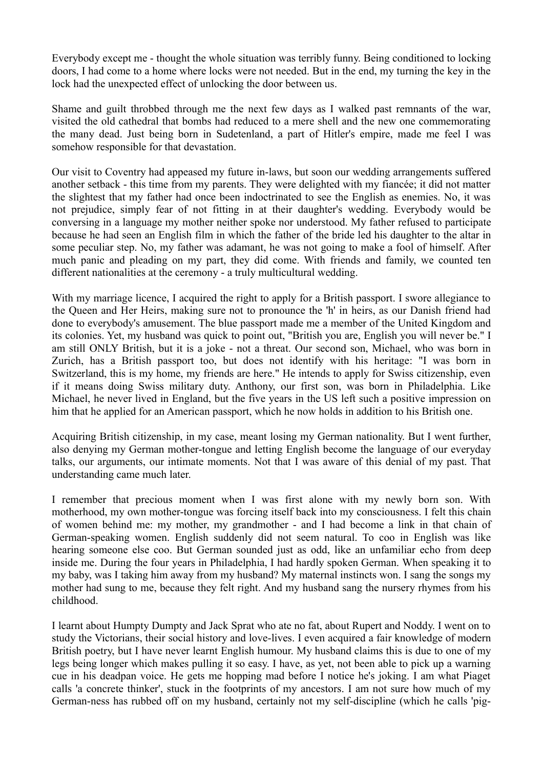Everybody except me - thought the whole situation was terribly funny. Being conditioned to locking doors, I had come to a home where locks were not needed. But in the end, my turning the key in the lock had the unexpected effect of unlocking the door between us.

Shame and guilt throbbed through me the next few days as I walked past remnants of the war, visited the old cathedral that bombs had reduced to a mere shell and the new one commemorating the many dead. Just being born in Sudetenland, a part of Hitler's empire, made me feel I was somehow responsible for that devastation.

Our visit to Coventry had appeased my future in-laws, but soon our wedding arrangements suffered another setback - this time from my parents. They were delighted with my fiancée; it did not matter the slightest that my father had once been indoctrinated to see the English as enemies. No, it was not prejudice, simply fear of not fitting in at their daughter's wedding. Everybody would be conversing in a language my mother neither spoke nor understood. My father refused to participate because he had seen an English film in which the father of the bride led his daughter to the altar in some peculiar step. No, my father was adamant, he was not going to make a fool of himself. After much panic and pleading on my part, they did come. With friends and family, we counted ten different nationalities at the ceremony - a truly multicultural wedding.

With my marriage licence, I acquired the right to apply for a British passport. I swore allegiance to the Queen and Her Heirs, making sure not to pronounce the 'h' in heirs, as our Danish friend had done to everybody's amusement. The blue passport made me a member of the United Kingdom and its colonies. Yet, my husband was quick to point out, "British you are, English you will never be." I am still ONLY British, but it is a joke - not a threat. Our second son, Michael, who was born in Zurich, has a British passport too, but does not identify with his heritage: "I was born in Switzerland, this is my home, my friends are here." He intends to apply for Swiss citizenship, even if it means doing Swiss military duty. Anthony, our first son, was born in Philadelphia. Like Michael, he never lived in England, but the five years in the US left such a positive impression on him that he applied for an American passport, which he now holds in addition to his British one.

Acquiring British citizenship, in my case, meant losing my German nationality. But I went further, also denying my German mother-tongue and letting English become the language of our everyday talks, our arguments, our intimate moments. Not that I was aware of this denial of my past. That understanding came much later.

I remember that precious moment when I was first alone with my newly born son. With motherhood, my own mother-tongue was forcing itself back into my consciousness. I felt this chain of women behind me: my mother, my grandmother - and I had become a link in that chain of German-speaking women. English suddenly did not seem natural. To coo in English was like hearing someone else coo. But German sounded just as odd, like an unfamiliar echo from deep inside me. During the four years in Philadelphia, I had hardly spoken German. When speaking it to my baby, was I taking him away from my husband? My maternal instincts won. I sang the songs my mother had sung to me, because they felt right. And my husband sang the nursery rhymes from his childhood.

I learnt about Humpty Dumpty and Jack Sprat who ate no fat, about Rupert and Noddy. I went on to study the Victorians, their social history and love-lives. I even acquired a fair knowledge of modern British poetry, but I have never learnt English humour. My husband claims this is due to one of my legs being longer which makes pulling it so easy. I have, as yet, not been able to pick up a warning cue in his deadpan voice. He gets me hopping mad before I notice he's joking. I am what Piaget calls 'a concrete thinker', stuck in the footprints of my ancestors. I am not sure how much of my German-ness has rubbed off on my husband, certainly not my self-discipline (which he calls 'pig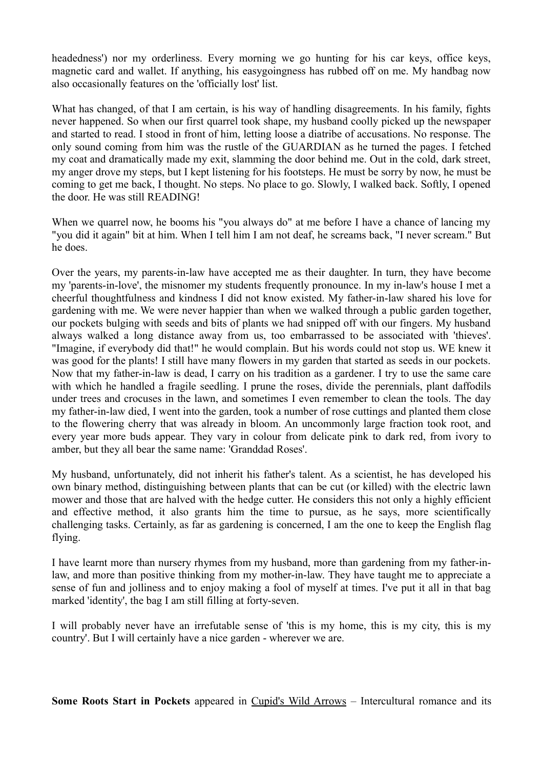headedness') nor my orderliness. Every morning we go hunting for his car keys, office keys, magnetic card and wallet. If anything, his easygoingness has rubbed off on me. My handbag now also occasionally features on the 'officially lost' list.

What has changed, of that I am certain, is his way of handling disagreements. In his family, fights never happened. So when our first quarrel took shape, my husband coolly picked up the newspaper and started to read. I stood in front of him, letting loose a diatribe of accusations. No response. The only sound coming from him was the rustle of the GUARDIAN as he turned the pages. I fetched my coat and dramatically made my exit, slamming the door behind me. Out in the cold, dark street, my anger drove my steps, but I kept listening for his footsteps. He must be sorry by now, he must be coming to get me back, I thought. No steps. No place to go. Slowly, I walked back. Softly, I opened the door. He was still READING!

When we quarrel now, he booms his "you always do" at me before I have a chance of lancing my "you did it again" bit at him. When I tell him I am not deaf, he screams back, "I never scream." But he does.

Over the years, my parents-in-law have accepted me as their daughter. In turn, they have become my 'parents-in-love', the misnomer my students frequently pronounce. In my in-law's house I met a cheerful thoughtfulness and kindness I did not know existed. My father-in-law shared his love for gardening with me. We were never happier than when we walked through a public garden together, our pockets bulging with seeds and bits of plants we had snipped off with our fingers. My husband always walked a long distance away from us, too embarrassed to be associated with 'thieves'. "Imagine, if everybody did that!" he would complain. But his words could not stop us. WE knew it was good for the plants! I still have many flowers in my garden that started as seeds in our pockets. Now that my father-in-law is dead, I carry on his tradition as a gardener. I try to use the same care with which he handled a fragile seedling. I prune the roses, divide the perennials, plant daffodils under trees and crocuses in the lawn, and sometimes I even remember to clean the tools. The day my father-in-law died, I went into the garden, took a number of rose cuttings and planted them close to the flowering cherry that was already in bloom. An uncommonly large fraction took root, and every year more buds appear. They vary in colour from delicate pink to dark red, from ivory to amber, but they all bear the same name: 'Granddad Roses'.

My husband, unfortunately, did not inherit his father's talent. As a scientist, he has developed his own binary method, distinguishing between plants that can be cut (or killed) with the electric lawn mower and those that are halved with the hedge cutter. He considers this not only a highly efficient and effective method, it also grants him the time to pursue, as he says, more scientifically challenging tasks. Certainly, as far as gardening is concerned, I am the one to keep the English flag flying.

I have learnt more than nursery rhymes from my husband, more than gardening from my father-inlaw, and more than positive thinking from my mother-in-law. They have taught me to appreciate a sense of fun and jolliness and to enjoy making a fool of myself at times. I've put it all in that bag marked 'identity', the bag I am still filling at forty-seven.

I will probably never have an irrefutable sense of 'this is my home, this is my city, this is my country'. But I will certainly have a nice garden - wherever we are.

**Some Roots Start in Pockets** appeared in Cupid's Wild Arrows – Intercultural romance and its